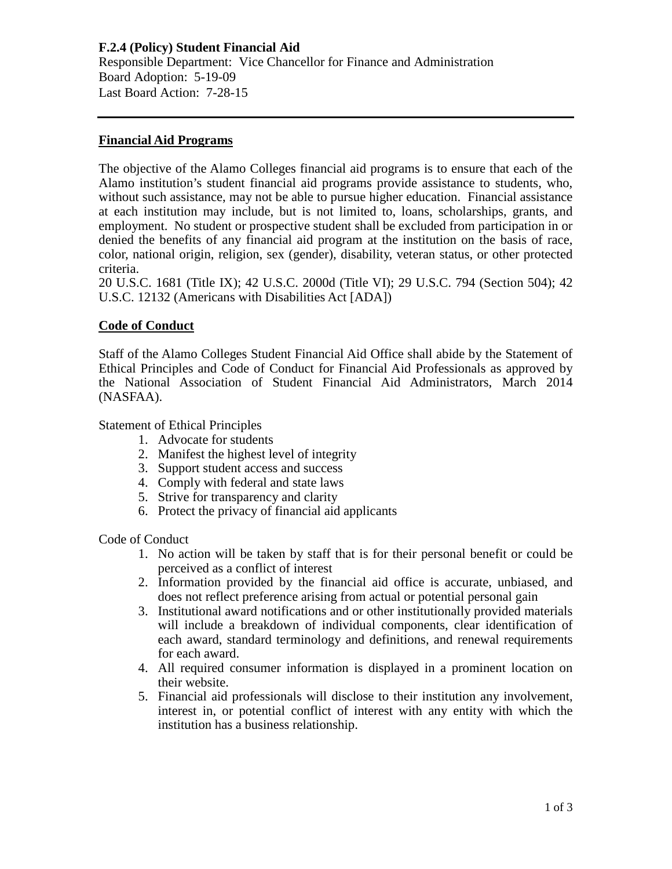**F.2.4 (Policy) Student Financial Aid** Responsible Department: Vice Chancellor for Finance and Administration Board Adoption: 5-19-09 Last Board Action: 7-28-15

#### **Financial Aid Programs**

The objective of the Alamo Colleges financial aid programs is to ensure that each of the Alamo institution's student financial aid programs provide assistance to students, who, without such assistance, may not be able to pursue higher education. Financial assistance at each institution may include, but is not limited to, loans, scholarships, grants, and employment. No student or prospective student shall be excluded from participation in or denied the benefits of any financial aid program at the institution on the basis of race, color, national origin, religion, sex (gender), disability, veteran status, or other protected criteria.

20 U.S.C. 1681 (Title IX); 42 U.S.C. 2000d (Title VI); 29 U.S.C. 794 (Section 504); 42 U.S.C. 12132 (Americans with Disabilities Act [ADA])

### **Code of Conduct**

Staff of the Alamo Colleges Student Financial Aid Office shall abide by the Statement of Ethical Principles and Code of Conduct for Financial Aid Professionals as approved by the National Association of Student Financial Aid Administrators, March 2014 (NASFAA).

Statement of Ethical Principles

- 1. Advocate for students
- 2. Manifest the highest level of integrity
- 3. Support student access and success
- 4. Comply with federal and state laws
- 5. Strive for transparency and clarity
- 6. Protect the privacy of financial aid applicants

Code of Conduct

- 1. No action will be taken by staff that is for their personal benefit or could be perceived as a conflict of interest
- 2. Information provided by the financial aid office is accurate, unbiased, and does not reflect preference arising from actual or potential personal gain
- 3. Institutional award notifications and or other institutionally provided materials will include a breakdown of individual components, clear identification of each award, standard terminology and definitions, and renewal requirements for each award.
- 4. All required consumer information is displayed in a prominent location on their website.
- 5. Financial aid professionals will disclose to their institution any involvement, interest in, or potential conflict of interest with any entity with which the institution has a business relationship.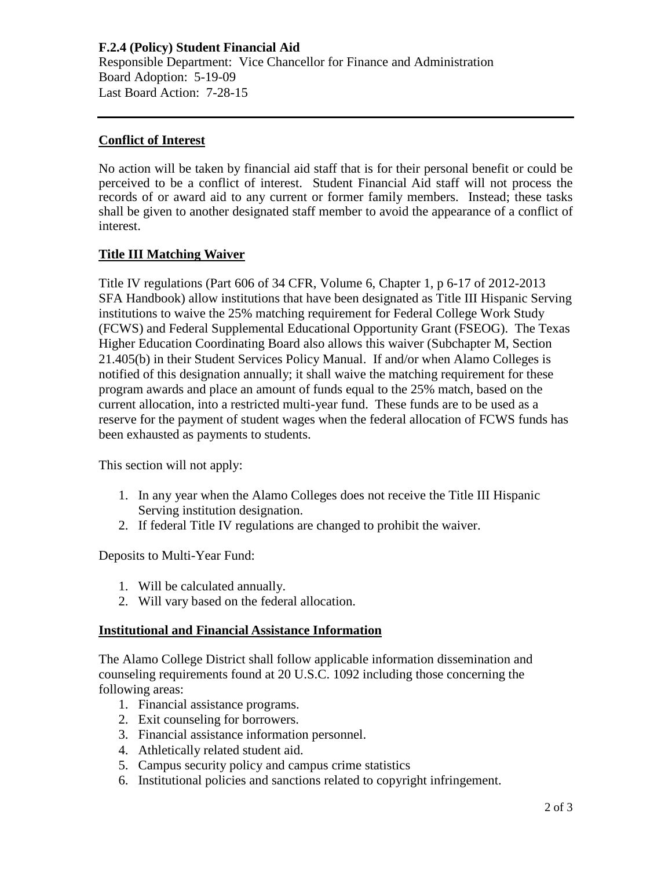**F.2.4 (Policy) Student Financial Aid** Responsible Department: Vice Chancellor for Finance and Administration Board Adoption: 5-19-09 Last Board Action: 7-28-15

### **Conflict of Interest**

No action will be taken by financial aid staff that is for their personal benefit or could be perceived to be a conflict of interest. Student Financial Aid staff will not process the records of or award aid to any current or former family members. Instead; these tasks shall be given to another designated staff member to avoid the appearance of a conflict of interest.

#### **Title III Matching Waiver**

Title IV regulations (Part 606 of 34 CFR, Volume 6, Chapter 1, p 6-17 of 2012-2013 SFA Handbook) allow institutions that have been designated as Title III Hispanic Serving institutions to waive the 25% matching requirement for Federal College Work Study (FCWS) and Federal Supplemental Educational Opportunity Grant (FSEOG). The Texas Higher Education Coordinating Board also allows this waiver (Subchapter M, Section 21.405(b) in their Student Services Policy Manual. If and/or when Alamo Colleges is notified of this designation annually; it shall waive the matching requirement for these program awards and place an amount of funds equal to the 25% match, based on the current allocation, into a restricted multi-year fund. These funds are to be used as a reserve for the payment of student wages when the federal allocation of FCWS funds has been exhausted as payments to students.

This section will not apply:

- 1. In any year when the Alamo Colleges does not receive the Title III Hispanic Serving institution designation.
- 2. If federal Title IV regulations are changed to prohibit the waiver.

Deposits to Multi-Year Fund:

- 1. Will be calculated annually.
- 2. Will vary based on the federal allocation.

#### **Institutional and Financial Assistance Information**

The Alamo College District shall follow applicable information dissemination and counseling requirements found at 20 U.S.C. 1092 including those concerning the following areas:

- 1. Financial assistance programs.
- 2. Exit counseling for borrowers.
- 3. Financial assistance information personnel.
- 4. Athletically related student aid.
- 5. Campus security policy and campus crime statistics
- 6. Institutional policies and sanctions related to copyright infringement.